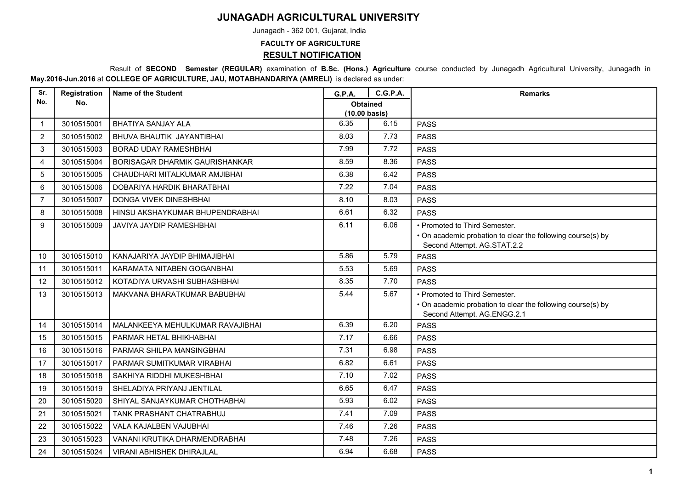## **JUNAGADH AGRICULTURAL UNIVERSITY**

Junagadh - 362 001, Gujarat, India

## **FACULTY OF AGRICULTURE**

**RESULT NOTIFICATION**

 Result of **SECOND Semester (REGULAR)** examination of **B.Sc. (Hons.) Agriculture** course conducted by Junagadh Agricultural University, Junagadh in **May.2016-Jun.2016** at **COLLEGE OF AGRICULTURE, JAU, MOTABHANDARIYA (AMRELI)** is declared as under:

| Sr.            | Registration | <b>Name of the Student</b>            | G.P.A.                                     | <b>C.G.P.A.</b> | <b>Remarks</b>                                                                             |
|----------------|--------------|---------------------------------------|--------------------------------------------|-----------------|--------------------------------------------------------------------------------------------|
| No.            | No.          |                                       | <b>Obtained</b><br>$(10.00 \text{ basis})$ |                 |                                                                                            |
| $\mathbf{1}$   | 3010515001   | <b>BHATIYA SANJAY ALA</b>             | 6.35                                       | 6.15            | <b>PASS</b>                                                                                |
| $\overline{2}$ | 3010515002   | BHUVA BHAUTIK JAYANTIBHAI             | 8.03                                       | 7.73            | <b>PASS</b>                                                                                |
| 3              | 3010515003   | <b>BORAD UDAY RAMESHBHAI</b>          | 7.99                                       | 7.72            | <b>PASS</b>                                                                                |
| 4              | 3010515004   | <b>BORISAGAR DHARMIK GAURISHANKAR</b> | 8.59                                       | 8.36            | <b>PASS</b>                                                                                |
| 5              | 3010515005   | CHAUDHARI MITALKUMAR AMJIBHAI         | 6.38                                       | 6.42            | <b>PASS</b>                                                                                |
| 6              | 3010515006   | DOBARIYA HARDIK BHARATBHAI            | 7.22                                       | 7.04            | <b>PASS</b>                                                                                |
|                |              |                                       |                                            |                 |                                                                                            |
| $\overline{7}$ | 3010515007   | <b>DONGA VIVEK DINESHBHAI</b>         | 8.10                                       | 8.03            | <b>PASS</b>                                                                                |
| 8              | 3010515008   | HINSU AKSHAYKUMAR BHUPENDRABHAI       | 6.61                                       | 6.32            | <b>PASS</b>                                                                                |
| 9              | 3010515009   | JAVIYA JAYDIP RAMESHBHAI              | 6.11                                       | 6.06            | • Promoted to Third Semester.                                                              |
|                |              |                                       |                                            |                 | • On academic probation to clear the following course(s) by<br>Second Attempt. AG.STAT.2.2 |
| 10             | 3010515010   | KANAJARIYA JAYDIP BHIMAJIBHAI         | 5.86                                       | 5.79            | <b>PASS</b>                                                                                |
| 11             | 3010515011   | KARAMATA NITABEN GOGANBHAI            | 5.53                                       | 5.69            | <b>PASS</b>                                                                                |
| 12             | 3010515012   | KOTADIYA URVASHI SUBHASHBHAI          | 8.35                                       | 7.70            | <b>PASS</b>                                                                                |
| 13             | 3010515013   | MAKVANA BHARATKUMAR BABUBHAI          | 5.44                                       | 5.67            | • Promoted to Third Semester.                                                              |
|                |              |                                       |                                            |                 | • On academic probation to clear the following course(s) by                                |
|                |              |                                       |                                            |                 | Second Attempt. AG.ENGG.2.1                                                                |
| 14             | 3010515014   | MALANKEEYA MEHULKUMAR RAVAJIBHAI      | 6.39                                       | 6.20            | <b>PASS</b>                                                                                |
| 15             | 3010515015   | PARMAR HETAL BHIKHABHAI               | 7.17                                       | 6.66            | <b>PASS</b>                                                                                |
| 16             | 3010515016   | PARMAR SHILPA MANSINGBHAI             | 7.31                                       | 6.98            | <b>PASS</b>                                                                                |
| 17             | 3010515017   | PARMAR SUMITKUMAR VIRABHAI            | 6.82                                       | 6.61            | <b>PASS</b>                                                                                |
| 18             | 3010515018   | SAKHIYA RIDDHI MUKESHBHAI             | 7.10                                       | 7.02            | <b>PASS</b>                                                                                |
| 19             | 3010515019   | SHELADIYA PRIYANJ JENTILAL            | 6.65                                       | 6.47            | <b>PASS</b>                                                                                |
| 20             | 3010515020   | SHIYAL SANJAYKUMAR CHOTHABHAI         | 5.93                                       | 6.02            | <b>PASS</b>                                                                                |
| 21             | 3010515021   | <b>TANK PRASHANT CHATRABHUJ</b>       | 7.41                                       | 7.09            | <b>PASS</b>                                                                                |
| 22             | 3010515022   | VALA KAJALBEN VAJUBHAI                | 7.46                                       | 7.26            | <b>PASS</b>                                                                                |
| 23             | 3010515023   | VANANI KRUTIKA DHARMENDRABHAI         | 7.48                                       | 7.26            | <b>PASS</b>                                                                                |
| 24             | 3010515024   | <b>VIRANI ABHISHEK DHIRAJLAL</b>      | 6.94                                       | 6.68            | <b>PASS</b>                                                                                |